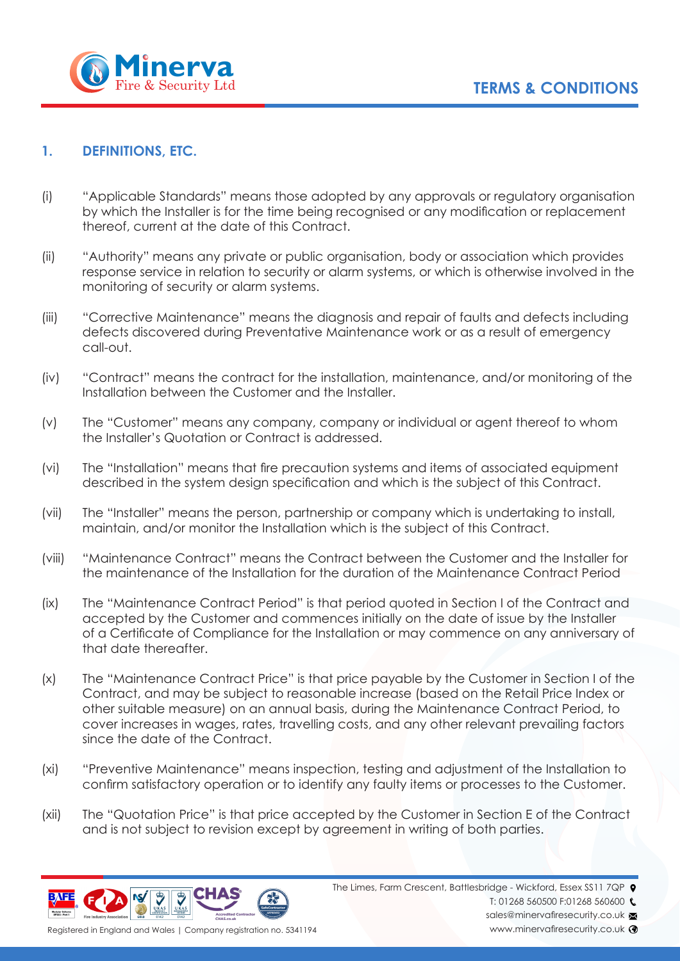

## **1. DEFINITIONS, ETC.**

- (i) "Applicable Standards" means those adopted by any approvals or regulatory organisation by which the Installer is for the time being recognised or any modification or replacement thereof, current at the date of this Contract.
- (ii) "Authority" means any private or public organisation, body or association which provides response service in relation to security or alarm systems, or which is otherwise involved in the monitoring of security or alarm systems.
- (iii) "Corrective Maintenance" means the diagnosis and repair of faults and defects including defects discovered during Preventative Maintenance work or as a result of emergency call-out.
- (iv) "Contract" means the contract for the installation, maintenance, and/or monitoring of the Installation between the Customer and the Installer.
- (v) The "Customer" means any company, company or individual or agent thereof to whom the Installer's Quotation or Contract is addressed.
- (vi) The "Installation" means that fire precaution systems and items of associated equipment described in the system design specification and which is the subject of this Contract.
- (vii) The "Installer" means the person, partnership or company which is undertaking to install, maintain, and/or monitor the Installation which is the subject of this Contract.
- (viii) "Maintenance Contract" means the Contract between the Customer and the Installer for the maintenance of the Installation for the duration of the Maintenance Contract Period
- (ix) The "Maintenance Contract Period" is that period quoted in Section I of the Contract and accepted by the Customer and commences initially on the date of issue by the Installer of a Certificate of Compliance for the Installation or may commence on any anniversary of that date thereafter.
- (x) The "Maintenance Contract Price" is that price payable by the Customer in Section I of the Contract, and may be subject to reasonable increase (based on the Retail Price Index or other suitable measure) on an annual basis, during the Maintenance Contract Period, to cover increases in wages, rates, travelling costs, and any other relevant prevailing factors since the date of the Contract.
- (xi) "Preventive Maintenance" means inspection, testing and adjustment of the Installation to confirm satisfactory operation or to identify any faulty items or processes to the Customer.
- (xii) The "Quotation Price" is that price accepted by the Customer in Section E of the Contract and is not subject to revision except by agreement in writing of both parties.



The Limes, Farm Crescent, Battlesbridge - Wickford, Essex SS11 7QP  $\bullet$ 

T: 01268 560500 F:01268 560600

sales@minervafiresecurity.co.uk www.minervafiresecurity.co.uk <sup>3</sup>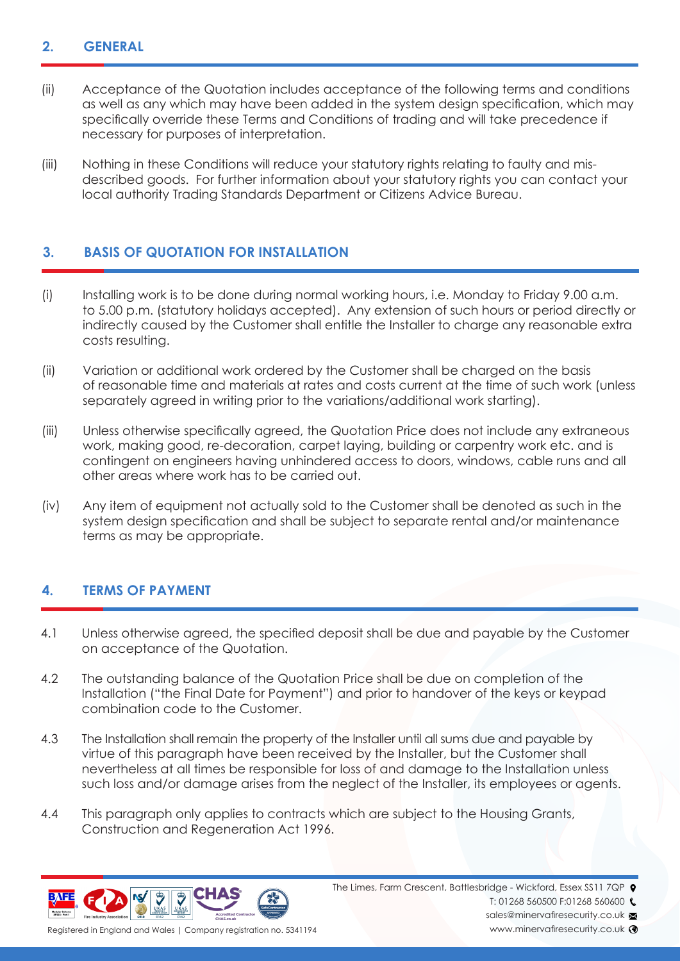## **2. GENERAL**

- (ii) Acceptance of the Quotation includes acceptance of the following terms and conditions as well as any which may have been added in the system design specification, which may specifically override these Terms and Conditions of trading and will take precedence if necessary for purposes of interpretation.
- (iii) Nothing in these Conditions will reduce your statutory rights relating to faulty and mis- described goods. For further information about your statutory rights you can contact your local authority Trading Standards Department or Citizens Advice Bureau.

# **3. BASIS OF QUOTATION FOR INSTALLATION**

- (i) Installing work is to be done during normal working hours, i.e. Monday to Friday 9.00 a.m. to 5.00 p.m. (statutory holidays accepted). Any extension of such hours or period directly or indirectly caused by the Customer shall entitle the Installer to charge any reasonable extra costs resulting.
- (ii) Variation or additional work ordered by the Customer shall be charged on the basis of reasonable time and materials at rates and costs current at the time of such work (unless separately agreed in writing prior to the variations/additional work starting).
- (iii) Unless otherwise specifically agreed, the Quotation Price does not include any extraneous work, making good, re-decoration, carpet laying, building or carpentry work etc. and is contingent on engineers having unhindered access to doors, windows, cable runs and all other areas where work has to be carried out.
- (iv) Any item of equipment not actually sold to the Customer shall be denoted as such in the system design specification and shall be subject to separate rental and/or maintenance terms as may be appropriate.

# **4. TERMS OF PAYMENT**

- 4.1 Unless otherwise agreed, the specified deposit shall be due and payable by the Customer on acceptance of the Quotation.
- 4.2 The outstanding balance of the Quotation Price shall be due on completion of the Installation ("the Final Date for Payment") and prior to handover of the keys or keypad combination code to the Customer.
- 4.3 The Installation shall remain the property of the Installer until all sums due and payable by virtue of this paragraph have been received by the Installer, but the Customer shall nevertheless at all times be responsible for loss of and damage to the Installation unless such loss and/or damage arises from the neglect of the Installer, its employees or agents.
- 4.4 This paragraph only applies to contracts which are subject to the Housing Grants, Construction and Regeneration Act 1996.



The Limes, Farm Crescent, Battlesbridge - Wickford, Essex SS11 7QP  $\bullet$ 

T: 01268 560500 F:01268 560600

sales@minervafiresecurity.co.uk www.minervafiresecurity.co.uk <sup>3</sup>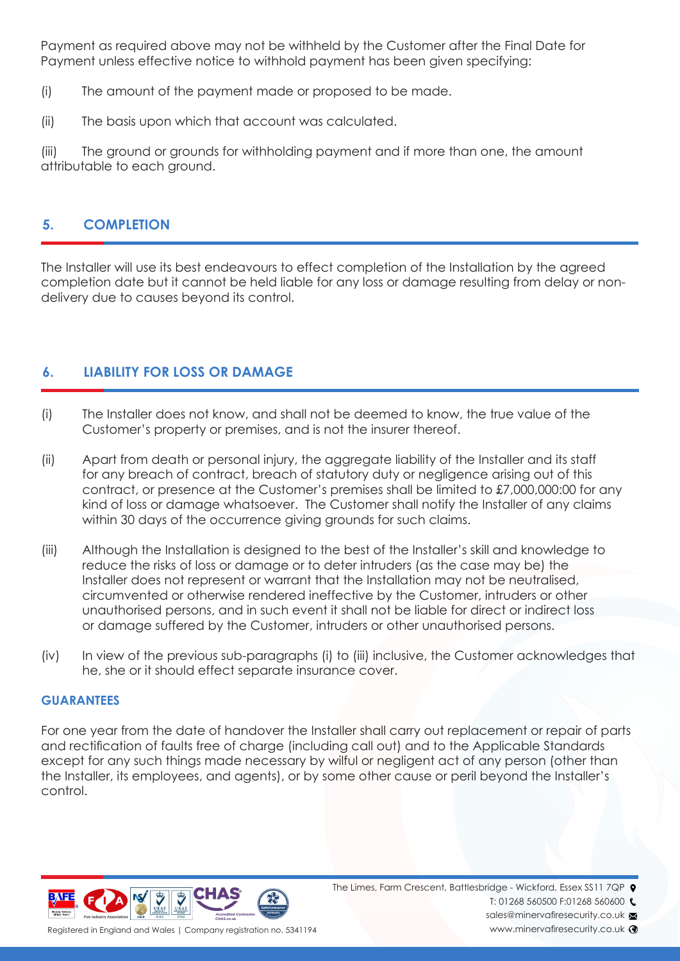Payment as required above may not be withheld by the Customer after the Final Date for Payment unless effective notice to withhold payment has been given specifying:

- (i) The amount of the payment made or proposed to be made.
- (ii) The basis upon which that account was calculated.

(iii) The ground or grounds for withholding payment and if more than one, the amount attributable to each ground.

# **5. COMPLETION**

The Installer will use its best endeavours to effect completion of the Installation by the agreed completion date but it cannot be held liable for any loss or damage resulting from delay or nondelivery due to causes beyond its control.

# **6. LIABILITY FOR LOSS OR DAMAGE**

- (i) The Installer does not know, and shall not be deemed to know, the true value of the Customer's property or premises, and is not the insurer thereof.
- (ii) Apart from death or personal injury, the aggregate liability of the Installer and its staff for any breach of contract, breach of statutory duty or negligence arising out of this contract, or presence at the Customer's premises shall be limited to £7,000,000:00 for any kind of loss or damage whatsoever. The Customer shall notify the Installer of any claims within 30 days of the occurrence giving grounds for such claims.
- (iii) Although the Installation is designed to the best of the Installer's skill and knowledge to reduce the risks of loss or damage or to deter intruders (as the case may be) the Installer does not represent or warrant that the Installation may not be neutralised, circumvented or otherwise rendered ineffective by the Customer, intruders or other unauthorised persons, and in such event it shall not be liable for direct or indirect loss or damage suffered by the Customer, intruders or other unauthorised persons.
- (iv) In view of the previous sub-paragraphs (i) to (iii) inclusive, the Customer acknowledges that he, she or it should effect separate insurance cover.

#### **GUARANTEES**

For one year from the date of handover the Installer shall carry out replacement or repair of parts and rectification of faults free of charge (including call out) and to the Applicable Standards except for any such things made necessary by wilful or negligent act of any person (other than the Installer, its employees, and agents), or by some other cause or peril beyond the Installer's control.



The Limes, Farm Crescent, Battlesbridge - Wickford, Essex SS11 7QP  $\bullet$ 

T: 01268 560500 F:01268 560600

sales@minervafiresecurity.co.uk www.minervafiresecurity.co.uk <sup>3</sup>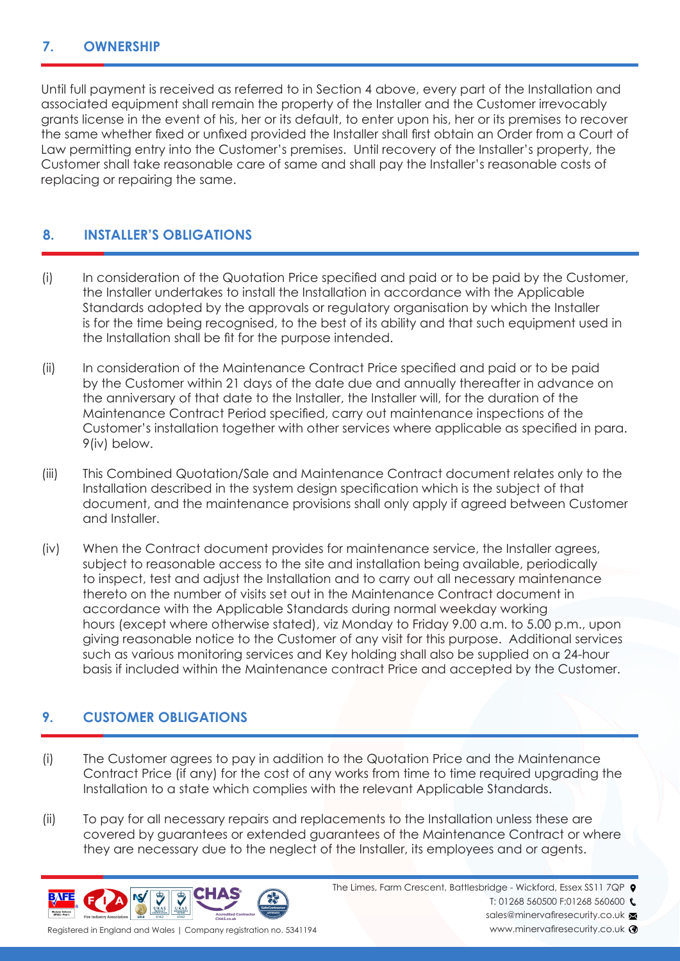#### **7. OWNERSHIP**

Until full payment is received as referred to in Section 4 above, every part of the Installation and associated equipment shall remain the property of the Installer and the Customer irrevocably grants license in the event of his, her or its default, to enter upon his, her or its premises to recover the same whether fixed or unfixed provided the Installer shall first obtain an Order from a Court of Law permitting entry into the Customer's premises. Until recovery of the Installer's property, the Customer shall take reasonable care of same and shall pay the Installer's reasonable costs of replacing or repairing the same.

## **8. INSTALLER'S OBLIGATIONS**

- (i) In consideration of the Quotation Price specified and paid or to be paid by the Customer, the Installer undertakes to install the Installation in accordance with the Applicable Standards adopted by the approvals or regulatory organisation by which the Installer is for the time being recognised, to the best of its ability and that such equipment used in the Installation shall be fit for the purpose intended.
- (ii) In consideration of the Maintenance Contract Price specified and paid or to be paid by the Customer within 21 days of the date due and annually thereafter in advance on the anniversary of that date to the Installer, the Installer will, for the duration of the Maintenance Contract Period specified, carry out maintenance inspections of the Customer's installation together with other services where applicable as specified in para. 9(iv) below.
- (iii) This Combined Quotation/Sale and Maintenance Contract document relates only to the Installation described in the system design specification which is the subject of that document, and the maintenance provisions shall only apply if agreed between Customer and Installer.
- (iv) When the Contract document provides for maintenance service, the Installer agrees, subject to reasonable access to the site and installation being available, periodically to inspect, test and adjust the Installation and to carry out all necessary maintenance thereto on the number of visits set out in the Maintenance Contract document in accordance with the Applicable Standards during normal weekday working hours (except where otherwise stated), viz Monday to Friday 9.00 a.m. to 5.00 p.m., upon giving reasonable notice to the Customer of any visit for this purpose. Additional services such as various monitoring services and Key holding shall also be supplied on a 24-hour basis if included within the Maintenance contract Price and accepted by the Customer.

## **9. CUSTOMER OBLIGATIONS**

- (i) The Customer agrees to pay in addition to the Quotation Price and the Maintenance Contract Price (if any) for the cost of any works from time to time required upgrading the Installation to a state which complies with the relevant Applicable Standards.
- (ii) To pay for all necessary repairs and replacements to the Installation unless these are covered by guarantees or extended guarantees of the Maintenance Contract or where they are necessary due to the neglect of the Installer, its employees and or agents.



The Limes, Farm Crescent, Battlesbridge - Wickford, Essex SS11 7QP  $\bullet$ 

T: 01268 560500 F:01268 560600 C

sales@minervafiresecurity.co.uk www.minervafiresecurity.co.uk <sup>3</sup>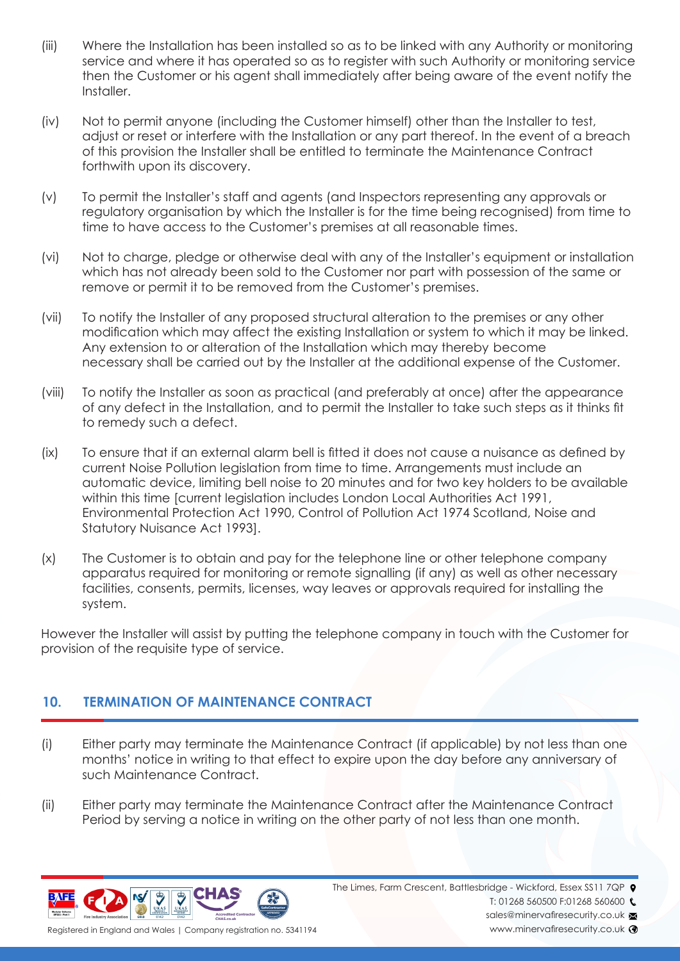- (iii) Where the Installation has been installed so as to be linked with any Authority or monitoring service and where it has operated so as to register with such Authority or monitoring service then the Customer or his agent shall immediately after being aware of the event notify the Installer.
- (iv) Not to permit anyone (including the Customer himself) other than the Installer to test, adjust or reset or interfere with the Installation or any part thereof. In the event of a breach of this provision the Installer shall be entitled to terminate the Maintenance Contract forthwith upon its discovery.
- (v) To permit the Installer's staff and agents (and Inspectors representing any approvals or regulatory organisation by which the Installer is for the time being recognised) from time to time to have access to the Customer's premises at all reasonable times.
- (vi) Not to charge, pledge or otherwise deal with any of the Installer's equipment or installation which has not already been sold to the Customer nor part with possession of the same or remove or permit it to be removed from the Customer's premises.
- (vii) To notify the Installer of any proposed structural alteration to the premises or any other modification which may affect the existing Installation or system to which it may be linked. Any extension to or alteration of the Installation which may thereby become necessary shall be carried out by the Installer at the additional expense of the Customer.
- (viii) To notify the Installer as soon as practical (and preferably at once) after the appearance of any defect in the Installation, and to permit the Installer to take such steps as it thinks fit to remedy such a defect.
- (ix) To ensure that if an external alarm bell is fitted it does not cause a nuisance as defined by current Noise Pollution legislation from time to time. Arrangements must include an automatic device, limiting bell noise to 20 minutes and for two key holders to be available within this time [current legislation includes London Local Authorities Act 1991, Environmental Protection Act 1990, Control of Pollution Act 1974 Scotland, Noise and Statutory Nuisance Act 1993].
- (x) The Customer is to obtain and pay for the telephone line or other telephone company apparatus required for monitoring or remote signalling (if any) as well as other necessary facilities, consents, permits, licenses, way leaves or approvals required for installing the system.

However the Installer will assist by putting the telephone company in touch with the Customer for provision of the requisite type of service.

# **10. TERMINATION OF MAINTENANCE CONTRACT**

- (i) Either party may terminate the Maintenance Contract (if applicable) by not less than one months' notice in writing to that effect to expire upon the day before any anniversary of such Maintenance Contract.
- (ii) Either party may terminate the Maintenance Contract after the Maintenance Contract Period by serving a notice in writing on the other party of not less than one month.



Registered in England and Wales | Company registration no. 5341194

The Limes, Farm Crescent, Battlesbridge - Wickford, Essex SS11 7QP  $\bullet$ 

T: 01268 560500 F:01268 560600

sales@minervafiresecurity.co.uk

www.minervafiresecurity.co.uk <sup>3</sup>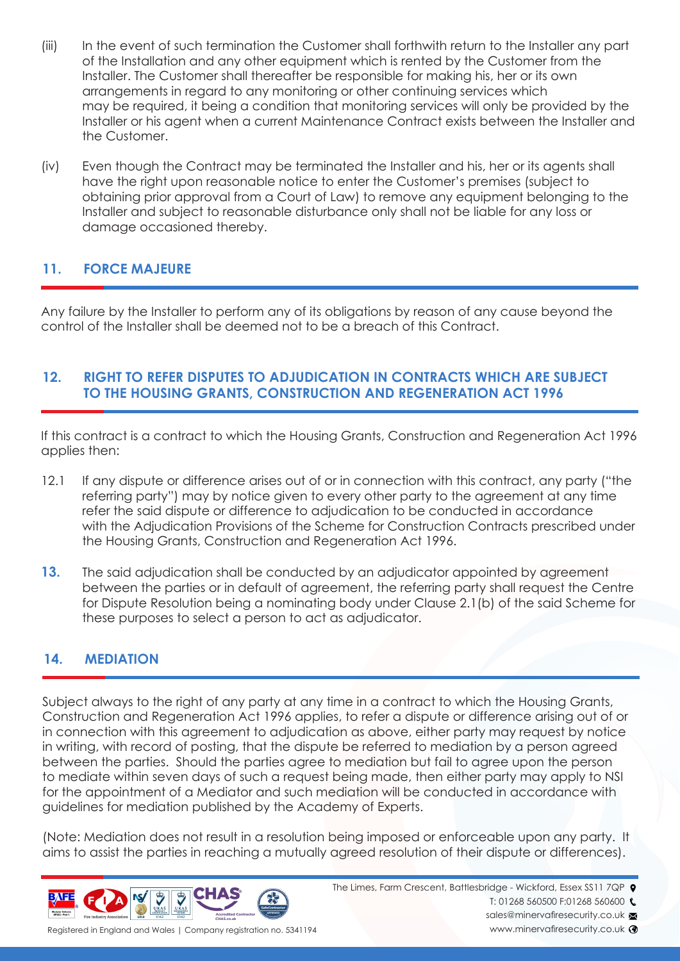- (iii) In the event of such termination the Customer shall forthwith return to the Installer any part of the Installation and any other equipment which is rented by the Customer from the Installer. The Customer shall thereafter be responsible for making his, her or its own arrangements in regard to any monitoring or other continuing services which may be required, it being a condition that monitoring services will only be provided by the Installer or his agent when a current Maintenance Contract exists between the Installer and the Customer.
- (iv) Even though the Contract may be terminated the Installer and his, her or its agents shall have the right upon reasonable notice to enter the Customer's premises (subject to obtaining prior approval from a Court of Law) to remove any equipment belonging to the Installer and subject to reasonable disturbance only shall not be liable for any loss or damage occasioned thereby.

## **11. FORCE MAJEURE**

Any failure by the Installer to perform any of its obligations by reason of any cause beyond the control of the Installer shall be deemed not to be a breach of this Contract.

## **12. RIGHT TO REFER DISPUTES TO ADJUDICATION IN CONTRACTS WHICH ARE SUBJECT TO THE HOUSING GRANTS, CONSTRUCTION AND REGENERATION ACT 1996**

If this contract is a contract to which the Housing Grants, Construction and Regeneration Act 1996 applies then:

- 12.1 If any dispute or difference arises out of or in connection with this contract, any party ("the referring party") may by notice given to every other party to the agreement at any time refer the said dispute or difference to adjudication to be conducted in accordance with the Adjudication Provisions of the Scheme for Construction Contracts prescribed under the Housing Grants, Construction and Regeneration Act 1996.
- **13.** The said adjudication shall be conducted by an adjudicator appointed by agreement between the parties or in default of agreement, the referring party shall request the Centre for Dispute Resolution being a nominating body under Clause 2.1(b) of the said Scheme for these purposes to select a person to act as adjudicator.

# **14. MEDIATION**

Subject always to the right of any party at any time in a contract to which the Housing Grants, Construction and Regeneration Act 1996 applies, to refer a dispute or difference arising out of or in connection with this agreement to adjudication as above, either party may request by notice in writing, with record of posting, that the dispute be referred to mediation by a person agreed between the parties. Should the parties agree to mediation but fail to agree upon the person to mediate within seven days of such a request being made, then either party may apply to NSI for the appointment of a Mediator and such mediation will be conducted in accordance with guidelines for mediation published by the Academy of Experts.

(Note: Mediation does not result in a resolution being imposed or enforceable upon any party. It aims to assist the parties in reaching a mutually agreed resolution of their dispute or differences).



The Limes, Farm Crescent, Battlesbridge - Wickford, Essex SS11 7QP  $\bullet$ 

T: 01268 560500 F:01268 560600

sales@minervafiresecurity.co.uk

www.minervafiresecurity.co.uk <sup>3</sup>